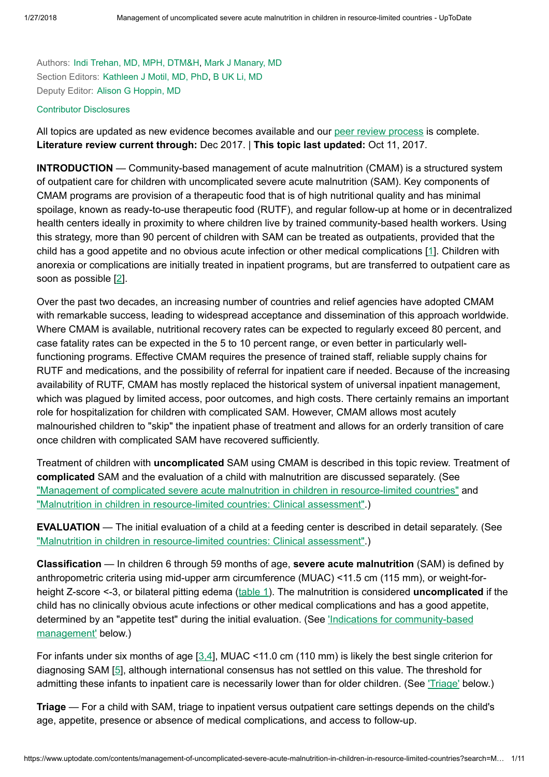Authors: Indi Trehan, MD, MPH, [DTM&H](https://www.uptodate.com/contents/management-of-uncomplicated-severe-acute-malnutrition-in-children-in-resource-limited-countries/contributors), Mark J [Manary,](https://www.uptodate.com/contents/management-of-uncomplicated-severe-acute-malnutrition-in-children-in-resource-limited-countries/contributors) MD Section Editors: [Kathleen](https://www.uptodate.com/contents/management-of-uncomplicated-severe-acute-malnutrition-in-children-in-resource-limited-countries/contributors) J Motil, MD, PhD, B UK Li, [MD](https://www.uptodate.com/contents/management-of-uncomplicated-severe-acute-malnutrition-in-children-in-resource-limited-countries/contributors) Deputy Editor: Alison G [Hoppin,](https://www.uptodate.com/contents/management-of-uncomplicated-severe-acute-malnutrition-in-children-in-resource-limited-countries/contributors) MD

## Contributor [Disclosures](https://www.uptodate.com/contents/management-of-uncomplicated-severe-acute-malnutrition-in-children-in-resource-limited-countries/contributor-disclosure)

All topics are updated as new evidence becomes available and our peer review [process](https://www.uptodate.com/home/editorial-policy) is complete. Literature review current through: Dec 2017. | This topic last updated: Oct 11, 2017.

**INTRODUCTION** — Community-based management of acute malnutrition (CMAM) is a structured system of outpatient care for children with uncomplicated severe acute malnutrition (SAM). Key components of CMAM programs are provision of a therapeutic food that is of high nutritional quality and has minimal spoilage, known as ready-to-use therapeutic food (RUTF), and regular follow-up at home or in decentralized health centers ideally in proximity to where children live by trained community-based health workers. Using this strategy, more than 90 percent of children with SAM can be treated as outpatients, provided that the child has a good appetite and no obvious acute infection or other medical complications [[1\]](https://www.uptodate.com/contents/management-of-uncomplicated-severe-acute-malnutrition-in-children-in-resource-limited-countries/abstract/1). Children with anorexia or complications are initially treated in inpatient programs, but are transferred to outpatient care as soon as possible [[2\]](https://www.uptodate.com/contents/management-of-uncomplicated-severe-acute-malnutrition-in-children-in-resource-limited-countries/abstract/2).

Over the past two decades, an increasing number of countries and relief agencies have adopted CMAM with remarkable success, leading to widespread acceptance and dissemination of this approach worldwide. Where CMAM is available, nutritional recovery rates can be expected to regularly exceed 80 percent, and case fatality rates can be expected in the 5 to 10 percent range, or even better in particularly wellfunctioning programs. Effective CMAM requires the presence of trained staff, reliable supply chains for RUTF and medications, and the possibility of referral for inpatient care if needed. Because of the increasing availability of RUTF, CMAM has mostly replaced the historical system of universal inpatient management, which was plagued by limited access, poor outcomes, and high costs. There certainly remains an important role for hospitalization for children with complicated SAM. However, CMAM allows most acutely malnourished children to "skip" the inpatient phase of treatment and allows for an orderly transition of care once children with complicated SAM have recovered sufficiently.

Treatment of children with uncomplicated SAM using CMAM is described in this topic review. Treatment of complicated SAM and the evaluation of a child with malnutrition are discussed separately. (See "Management of complicated severe acute malnutrition in children in [resource-limited](https://www.uptodate.com/contents/management-of-complicated-severe-acute-malnutrition-in-children-in-resource-limited-countries?source=see_link) countries" and "Malnutrition in children in resource-limited countries: [Clinical assessment"](https://www.uptodate.com/contents/malnutrition-in-children-in-resource-limited-countries-clinical-assessment?source=see_link).)

EVALUATION — The initial evaluation of a child at a feeding center is described in detail separately. (See "Malnutrition in children in resource-limited countries: [Clinical assessment"](https://www.uptodate.com/contents/malnutrition-in-children-in-resource-limited-countries-clinical-assessment?source=see_link).)

Classification — In children 6 through 59 months of age, severe acute malnutrition (SAM) is defined by anthropometric criteria using mid-upper arm circumference (MUAC) <11.5 cm (115 mm), or weight-forheight Z-score <-3, or bilateral pitting edema ([table](https://www.uptodate.com/contents/image?imageKey=PEDS%2F60869&topicKey=PEDS%2F113959&search=MANAGEMENT+OF+SEVERE+MALNUTRITION&rank=1%7E150&source=see_link) 1). The malnutrition is considered uncomplicated if the child has no clinically obvious acute infections or other medical complications and has a good appetite, determined by an "appetite test" during the initial evaluation. (See 'Indications for [community-based](https://www.uptodate.com/contents/management-of-uncomplicated-severe-acute-malnutrition-in-children-in-resource-limited-countries?search=MANAGEMENT%20OF%20SEVERE%20MALNUTRITION&source=search_result&selectedTitle=1~150&usage_type=default&display_rank=1#H3448946853) management' below.)

For infants under six months of age [\[3,4](https://www.uptodate.com/contents/management-of-uncomplicated-severe-acute-malnutrition-in-children-in-resource-limited-countries/abstract/3,4)], MUAC <11.0 cm (110 mm) is likely the best single criterion for diagnosing SAM [\[5](https://www.uptodate.com/contents/management-of-uncomplicated-severe-acute-malnutrition-in-children-in-resource-limited-countries/abstract/5)], although international consensus has not settled on this value. The threshold for admitting these infants to inpatient care is necessarily lower than for older children. (See ['Triage'](https://www.uptodate.com/contents/management-of-uncomplicated-severe-acute-malnutrition-in-children-in-resource-limited-countries?search=MANAGEMENT%20OF%20SEVERE%20MALNUTRITION&source=search_result&selectedTitle=1~150&usage_type=default&display_rank=1#H2757780587) below.)

Triage — For a child with SAM, triage to inpatient versus outpatient care settings depends on the child's age, appetite, presence or absence of medical complications, and access to follow-up.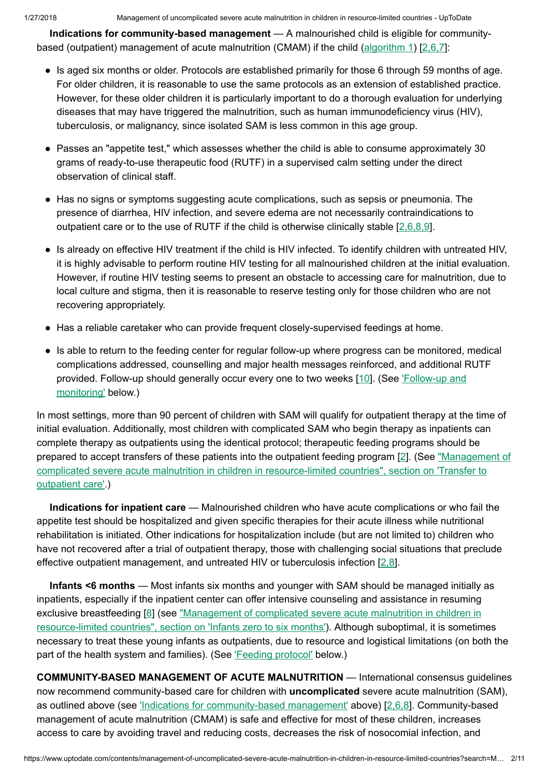Indications for community-based management — A malnourished child is eligible for communitybased (outpatient) management of acute malnutrition (CMAM) if the child [\(algorithm](https://www.uptodate.com/contents/image?imageKey=PEDS%2F113987&topicKey=PEDS%2F113959&search=MANAGEMENT+OF+SEVERE+MALNUTRITION&rank=1%7E150&source=see_link) 1) [\[2,6,7](https://www.uptodate.com/contents/management-of-uncomplicated-severe-acute-malnutrition-in-children-in-resource-limited-countries/abstract/2,6,7)]:

- Is aged six months or older. Protocols are established primarily for those 6 through 59 months of age. For older children, it is reasonable to use the same protocols as an extension of established practice. However, for these older children it is particularly important to do a thorough evaluation for underlying diseases that may have triggered the malnutrition, such as human immunodeficiency virus (HIV), tuberculosis, or malignancy, since isolated SAM is less common in this age group.
- Passes an "appetite test," which assesses whether the child is able to consume approximately 30 grams of ready-to-use therapeutic food (RUTF) in a supervised calm setting under the direct observation of clinical staff.
- Has no signs or symptoms suggesting acute complications, such as sepsis or pneumonia. The presence of diarrhea, HIV infection, and severe edema are not necessarily contraindications to outpatient care or to the use of RUTF if the child is otherwise clinically stable [[2,6,8,9\]](https://www.uptodate.com/contents/management-of-uncomplicated-severe-acute-malnutrition-in-children-in-resource-limited-countries/abstract/2,6,8,9).
- Is already on effective HIV treatment if the child is HIV infected. To identify children with untreated HIV, it is highly advisable to perform routine HIV testing for all malnourished children at the initial evaluation. However, if routine HIV testing seems to present an obstacle to accessing care for malnutrition, due to local culture and stigma, then it is reasonable to reserve testing only for those children who are not recovering appropriately.
- Has a reliable caretaker who can provide frequent closely-supervised feedings at home.
- Is able to return to the feeding center for regular follow-up where progress can be monitored, medical complications addressed, counselling and major health messages reinforced, and additional RUTF provided. Follow-up should generally occur every one to two weeks [\[10](https://www.uptodate.com/contents/management-of-uncomplicated-severe-acute-malnutrition-in-children-in-resource-limited-countries/abstract/10)]. (See 'Follow-up and [monitoring'](https://www.uptodate.com/contents/management-of-uncomplicated-severe-acute-malnutrition-in-children-in-resource-limited-countries?search=MANAGEMENT%20OF%20SEVERE%20MALNUTRITION&source=search_result&selectedTitle=1~150&usage_type=default&display_rank=1#H3176906666) below.)

In most settings, more than 90 percent of children with SAM will qualify for outpatient therapy at the time of initial evaluation. Additionally, most children with complicated SAM who begin therapy as inpatients can complete therapy as outpatients using the identical protocol; therapeutic feeding programs should be prepared to accept transfers of these patients into the outpatient feeding program [[2\]](https://www.uptodate.com/contents/management-of-uncomplicated-severe-acute-malnutrition-in-children-in-resource-limited-countries/abstract/2). (See "Management of complicated severe acute malnutrition in children in [resource-limited](https://www.uptodate.com/contents/management-of-complicated-severe-acute-malnutrition-in-children-in-resource-limited-countries?sectionName=Transfer+to+outpatient+care&anchor=H87026751&source=see_link#H87026751) countries", section on 'Transfer to outpatient care'.)

Indications for inpatient care — Malnourished children who have acute complications or who fail the appetite test should be hospitalized and given specific therapies for their acute illness while nutritional rehabilitation is initiated. Other indications for hospitalization include (but are not limited to) children who have not recovered after a trial of outpatient therapy, those with challenging social situations that preclude effective outpatient management, and untreated HIV or tuberculosis infection [\[2,8](https://www.uptodate.com/contents/management-of-uncomplicated-severe-acute-malnutrition-in-children-in-resource-limited-countries/abstract/2,8)].

Infants <6 months — Most infants six months and younger with SAM should be managed initially as inpatients, especially if the inpatient center can offer intensive counseling and assistance in resuming exclusive breastfeeding [[8\]](https://www.uptodate.com/contents/management-of-uncomplicated-severe-acute-malnutrition-in-children-in-resource-limited-countries/abstract/8) (see "Management of complicated severe acute malnutrition in children in [resource-limited](https://www.uptodate.com/contents/management-of-complicated-severe-acute-malnutrition-in-children-in-resource-limited-countries?sectionName=Infants+zero+to+six+months&anchor=H1001776423&source=see_link#H1001776423) countries", section on 'Infants zero to six months'). Although suboptimal, it is sometimes necessary to treat these young infants as outpatients, due to resource and logistical limitations (on both the part of the health system and families). (See ['Feeding](https://www.uptodate.com/contents/management-of-uncomplicated-severe-acute-malnutrition-in-children-in-resource-limited-countries?search=MANAGEMENT%20OF%20SEVERE%20MALNUTRITION&source=search_result&selectedTitle=1~150&usage_type=default&display_rank=1#H3595028780) protocol' below.)

COMMUNITY-BASED MANAGEMENT OF ACUTE MALNUTRITION — International consensus guidelines now recommend community-based care for children with **uncomplicated** severe acute malnutrition (SAM), as outlined above (see 'Indications for [community-based](https://www.uptodate.com/contents/management-of-uncomplicated-severe-acute-malnutrition-in-children-in-resource-limited-countries?search=MANAGEMENT%20OF%20SEVERE%20MALNUTRITION&source=search_result&selectedTitle=1~150&usage_type=default&display_rank=1#H3448946853) management' above) [\[2,6,8](https://www.uptodate.com/contents/management-of-uncomplicated-severe-acute-malnutrition-in-children-in-resource-limited-countries/abstract/2,6,8)]. Community-based management of acute malnutrition (CMAM) is safe and effective for most of these children, increases access to care by avoiding travel and reducing costs, decreases the risk of nosocomial infection, and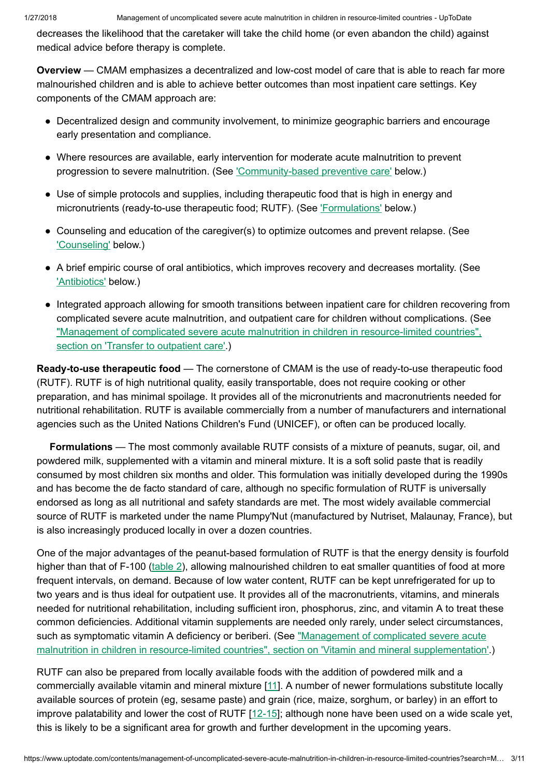decreases the likelihood that the caretaker will take the child home (or even abandon the child) against medical advice before therapy is complete.

Overview — CMAM emphasizes a decentralized and low-cost model of care that is able to reach far more malnourished children and is able to achieve better outcomes than most inpatient care settings. Key components of the CMAM approach are:

- Decentralized design and community involvement, to minimize geographic barriers and encourage early presentation and compliance.
- Where resources are available, early intervention for moderate acute malnutrition to prevent progression to severe malnutrition. (See *Community-based preventive care'* below.)
- Use of simple protocols and supplies, including therapeutic food that is high in energy and micronutrients (ready-to-use therapeutic food; RUTF). (See ['Formulations'](https://www.uptodate.com/contents/management-of-uncomplicated-severe-acute-malnutrition-in-children-in-resource-limited-countries?search=MANAGEMENT%20OF%20SEVERE%20MALNUTRITION&source=search_result&selectedTitle=1~150&usage_type=default&display_rank=1#H3437079758) below.)
- Counseling and education of the caregiver(s) to optimize outcomes and prevent relapse. (See ['Counseling'](https://www.uptodate.com/contents/management-of-uncomplicated-severe-acute-malnutrition-in-children-in-resource-limited-countries?search=MANAGEMENT%20OF%20SEVERE%20MALNUTRITION&source=search_result&selectedTitle=1~150&usage_type=default&display_rank=1#H1954291640) below.)
- A brief empiric course of oral antibiotics, which improves recovery and decreases mortality. (See ['Antibiotics'](https://www.uptodate.com/contents/management-of-uncomplicated-severe-acute-malnutrition-in-children-in-resource-limited-countries?search=MANAGEMENT%20OF%20SEVERE%20MALNUTRITION&source=search_result&selectedTitle=1~150&usage_type=default&display_rank=1#H3991352518) below.)
- Integrated approach allowing for smooth transitions between inpatient care for children recovering from complicated severe acute malnutrition, and outpatient care for children without complications. (See "Management of complicated severe acute malnutrition in children in [resource-limited](https://www.uptodate.com/contents/management-of-complicated-severe-acute-malnutrition-in-children-in-resource-limited-countries?sectionName=Transfer+to+outpatient+care&anchor=H87026751&source=see_link#H87026751) countries", section on 'Transfer to outpatient care'.)

Ready-to-use therapeutic food — The cornerstone of CMAM is the use of ready-to-use therapeutic food (RUTF). RUTF is of high nutritional quality, easily transportable, does not require cooking or other preparation, and has minimal spoilage. It provides all of the micronutrients and macronutrients needed for nutritional rehabilitation. RUTF is available commercially from a number of manufacturers and international agencies such as the United Nations Children's Fund (UNICEF), or often can be produced locally.

Formulations — The most commonly available RUTF consists of a mixture of peanuts, sugar, oil, and powdered milk, supplemented with a vitamin and mineral mixture. It is a soft solid paste that is readily consumed by most children six months and older. This formulation was initially developed during the 1990s and has become the de facto standard of care, although no specific formulation of RUTF is universally endorsed as long as all nutritional and safety standards are met. The most widely available commercial source of RUTF is marketed under the name Plumpy'Nut (manufactured by Nutriset, Malaunay, France), but is also increasingly produced locally in over a dozen countries.

One of the major advantages of the peanut-based formulation of RUTF is that the energy density is fourfold higher than that of F-100 ([table](https://www.uptodate.com/contents/image?imageKey=PEDS%2F82277&topicKey=PEDS%2F113959&search=MANAGEMENT+OF+SEVERE+MALNUTRITION&rank=1%7E150&source=see_link) 2), allowing malnourished children to eat smaller quantities of food at more frequent intervals, on demand. Because of low water content, RUTF can be kept unrefrigerated for up to two years and is thus ideal for outpatient use. It provides all of the macronutrients, vitamins, and minerals needed for nutritional rehabilitation, including sufficient iron, phosphorus, zinc, and vitamin A to treat these common deficiencies. Additional vitamin supplements are needed only rarely, under select circumstances, such as symptomatic vitamin A deficiency or beriberi. (See "Management of complicated severe acute malnutrition in children in resource-limited countries", section on 'Vitamin and [mineral supplementation'](https://www.uptodate.com/contents/management-of-complicated-severe-acute-malnutrition-in-children-in-resource-limited-countries?sectionName=Vitamin+and+mineral+supplementation&anchor=H15&source=see_link#H15).)

RUTF can also be prepared from locally available foods with the addition of powdered milk and a commercially available vitamin and mineral mixture [\[11\]](https://www.uptodate.com/contents/management-of-uncomplicated-severe-acute-malnutrition-in-children-in-resource-limited-countries/abstract/11). A number of newer formulations substitute locally available sources of protein (eg, sesame paste) and grain (rice, maize, sorghum, or barley) in an effort to improve palatability and lower the cost of RUTF  $[12-15]$  $[12-15]$ ; although none have been used on a wide scale yet, this is likely to be a significant area for growth and further development in the upcoming years.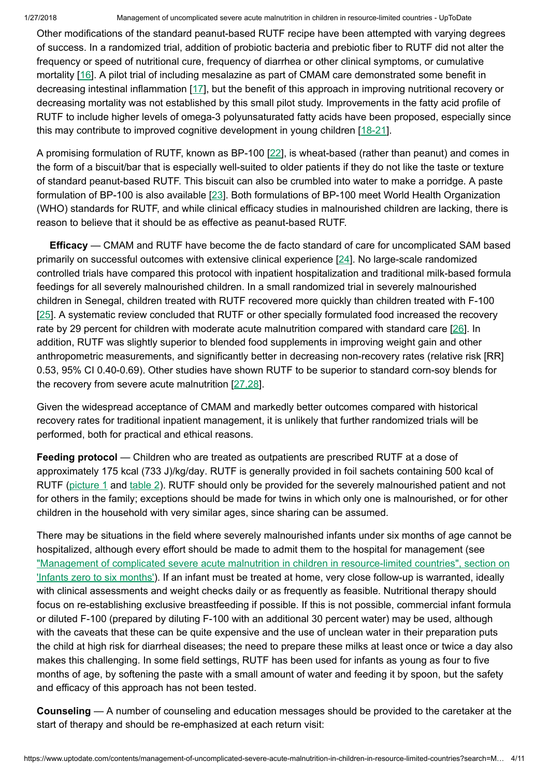## 1/27/2018 Management of uncomplicated severe acute malnutrition in children in resource-limited countries - UpToDate

Other modifications of the standard peanut-based RUTF recipe have been attempted with varying degrees of success. In a randomized trial, addition of probiotic bacteria and prebiotic fiber to RUTF did not alter the frequency or speed of nutritional cure, frequency of diarrhea or other clinical symptoms, or cumulative mortality [[16\]](https://www.uptodate.com/contents/management-of-uncomplicated-severe-acute-malnutrition-in-children-in-resource-limited-countries/abstract/16). A pilot trial of including mesalazine as part of CMAM care demonstrated some benefit in decreasing intestinal inflammation [\[17](https://www.uptodate.com/contents/management-of-uncomplicated-severe-acute-malnutrition-in-children-in-resource-limited-countries/abstract/17)], but the benefit of this approach in improving nutritional recovery or decreasing mortality was not established by this small pilot study. Improvements in the fatty acid profile of RUTF to include higher levels of omega-3 polyunsaturated fatty acids have been proposed, especially since this may contribute to improved cognitive development in young children [\[18-21](https://www.uptodate.com/contents/management-of-uncomplicated-severe-acute-malnutrition-in-children-in-resource-limited-countries/abstract/18-21)].

A promising formulation of RUTF, known as BP-100 [\[22](https://www.uptodate.com/contents/management-of-uncomplicated-severe-acute-malnutrition-in-children-in-resource-limited-countries/abstract/22)], is wheat-based (rather than peanut) and comes in the form of a biscuit/bar that is especially well-suited to older patients if they do not like the taste or texture of standard peanut-based RUTF. This biscuit can also be crumbled into water to make a porridge. A paste formulation of BP-100 is also available [\[23](https://www.uptodate.com/contents/management-of-uncomplicated-severe-acute-malnutrition-in-children-in-resource-limited-countries/abstract/23)]. Both formulations of BP-100 meet World Health Organization (WHO) standards for RUTF, and while clinical efficacy studies in malnourished children are lacking, there is reason to believe that it should be as effective as peanut-based RUTF.

Efficacy — CMAM and RUTF have become the de facto standard of care for uncomplicated SAM based primarily on successful outcomes with extensive clinical experience [\[24](https://www.uptodate.com/contents/management-of-uncomplicated-severe-acute-malnutrition-in-children-in-resource-limited-countries/abstract/24)]. No large-scale randomized controlled trials have compared this protocol with inpatient hospitalization and traditional milk-based formula feedings for all severely malnourished children. In a small randomized trial in severely malnourished children in Senegal, children treated with RUTF recovered more quickly than children treated with F-100 [[25\]](https://www.uptodate.com/contents/management-of-uncomplicated-severe-acute-malnutrition-in-children-in-resource-limited-countries/abstract/25). A systematic review concluded that RUTF or other specially formulated food increased the recovery rate by 29 percent for children with moderate acute malnutrition compared with standard care [\[26\]](https://www.uptodate.com/contents/management-of-uncomplicated-severe-acute-malnutrition-in-children-in-resource-limited-countries/abstract/26). In addition, RUTF was slightly superior to blended food supplements in improving weight gain and other anthropometric measurements, and significantly better in decreasing non-recovery rates (relative risk [RR] 0.53, 95% CI 0.40-0.69). Other studies have shown RUTF to be superior to standard corn-soy blends for the recovery from severe acute malnutrition [\[27,28](https://www.uptodate.com/contents/management-of-uncomplicated-severe-acute-malnutrition-in-children-in-resource-limited-countries/abstract/27,28)].

Given the widespread acceptance of CMAM and markedly better outcomes compared with historical recovery rates for traditional inpatient management, it is unlikely that further randomized trials will be performed, both for practical and ethical reasons.

Feeding protocol — Children who are treated as outpatients are prescribed RUTF at a dose of approximately 175 kcal (733 J)/kg/day. RUTF is generally provided in foil sachets containing 500 kcal of RUTF ([picture](https://www.uptodate.com/contents/image?imageKey=PEDS%2F114599&topicKey=PEDS%2F113959&search=MANAGEMENT+OF+SEVERE+MALNUTRITION&rank=1%7E150&source=see_link) 1 and [table](https://www.uptodate.com/contents/image?imageKey=PEDS%2F82277&topicKey=PEDS%2F113959&search=MANAGEMENT+OF+SEVERE+MALNUTRITION&rank=1%7E150&source=see_link) 2). RUTF should only be provided for the severely malnourished patient and not for others in the family; exceptions should be made for twins in which only one is malnourished, or for other children in the household with very similar ages, since sharing can be assumed.

There may be situations in the field where severely malnourished infants under six months of age cannot be hospitalized, although every effort should be made to admit them to the hospital for management (see "Management of complicated severe acute malnutrition in children in [resource-limited](https://www.uptodate.com/contents/management-of-complicated-severe-acute-malnutrition-in-children-in-resource-limited-countries?sectionName=Infants+zero+to+six+months&anchor=H1001776423&source=see_link#H1001776423) countries", section on 'Infants zero to six months'). If an infant must be treated at home, very close follow-up is warranted, ideally with clinical assessments and weight checks daily or as frequently as feasible. Nutritional therapy should focus on re-establishing exclusive breastfeeding if possible. If this is not possible, commercial infant formula or diluted F-100 (prepared by diluting F-100 with an additional 30 percent water) may be used, although with the caveats that these can be quite expensive and the use of unclean water in their preparation puts the child at high risk for diarrheal diseases; the need to prepare these milks at least once or twice a day also makes this challenging. In some field settings, RUTF has been used for infants as young as four to five months of age, by softening the paste with a small amount of water and feeding it by spoon, but the safety and efficacy of this approach has not been tested.

Counseling — A number of counseling and education messages should be provided to the caretaker at the start of therapy and should be re-emphasized at each return visit: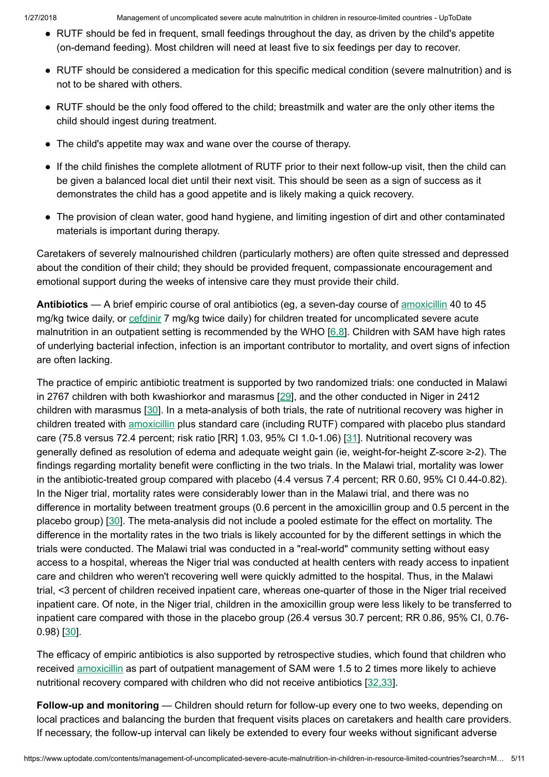- RUTF should be fed in frequent, small feedings throughout the day, as driven by the child's appetite (on-demand feeding). Most children will need at least five to six feedings per day to recover.
- RUTF should be considered a medication for this specific medical condition (severe malnutrition) and is not to be shared with others.
- RUTF should be the only food offered to the child; breastmilk and water are the only other items the child should ingest during treatment.
- The child's appetite may wax and wane over the course of therapy.
- If the child finishes the complete allotment of RUTF prior to their next follow-up visit, then the child can be given a balanced local diet until their next visit. This should be seen as a sign of success as it demonstrates the child has a good appetite and is likely making a quick recovery.
- The provision of clean water, good hand hygiene, and limiting ingestion of dirt and other contaminated materials is important during therapy.

Caretakers of severely malnourished children (particularly mothers) are often quite stressed and depressed about the condition of their child; they should be provided frequent, compassionate encouragement and emotional support during the weeks of intensive care they must provide their child.

Antibiotics — A brief empiric course of oral antibiotics (eg, a seven-day course of [amoxicillin](https://www.uptodate.com/contents/amoxicillin-pediatric-drug-information?source=see_link) 40 to 45 mg/kg twice daily, or [cefdinir](https://www.uptodate.com/contents/cefdinir-pediatric-drug-information?source=see_link) 7 mg/kg twice daily) for children treated for uncomplicated severe acute malnutrition in an outpatient setting is recommended by the WHO [\[6,8](https://www.uptodate.com/contents/management-of-uncomplicated-severe-acute-malnutrition-in-children-in-resource-limited-countries/abstract/6,8)]. Children with SAM have high rates of underlying bacterial infection, infection is an important contributor to mortality, and overt signs of infection are often lacking.

The practice of empiric antibiotic treatment is supported by two randomized trials: one conducted in Malawi in 2767 children with both kwashiorkor and marasmus [[29\]](https://www.uptodate.com/contents/management-of-uncomplicated-severe-acute-malnutrition-in-children-in-resource-limited-countries/abstract/29), and the other conducted in Niger in 2412 children with marasmus [[30\]](https://www.uptodate.com/contents/management-of-uncomplicated-severe-acute-malnutrition-in-children-in-resource-limited-countries/abstract/30). In a meta-analysis of both trials, the rate of nutritional recovery was higher in children treated with [amoxicillin](https://www.uptodate.com/contents/amoxicillin-pediatric-drug-information?source=see_link) plus standard care (including RUTF) compared with placebo plus standard care (75.8 versus 72.4 percent; risk ratio [RR] 1.03, 95% CI 1.0-1.06) [[31\]](https://www.uptodate.com/contents/management-of-uncomplicated-severe-acute-malnutrition-in-children-in-resource-limited-countries/abstract/31). Nutritional recovery was generally defined as resolution of edema and adequate weight gain (ie, weight-for-height Z-score ≥-2). The findings regarding mortality benefit were conflicting in the two trials. In the Malawi trial, mortality was lower in the antibiotic-treated group compared with placebo (4.4 versus 7.4 percent; RR 0.60, 95% CI 0.44-0.82). In the Niger trial, mortality rates were considerably lower than in the Malawi trial, and there was no difference in mortality between treatment groups (0.6 percent in the amoxicillin group and 0.5 percent in the placebo group) [[30\]](https://www.uptodate.com/contents/management-of-uncomplicated-severe-acute-malnutrition-in-children-in-resource-limited-countries/abstract/30). The meta-analysis did not include a pooled estimate for the effect on mortality. The difference in the mortality rates in the two trials is likely accounted for by the different settings in which the trials were conducted. The Malawi trial was conducted in a "real-world" community setting without easy access to a hospital, whereas the Niger trial was conducted at health centers with ready access to inpatient care and children who weren't recovering well were quickly admitted to the hospital. Thus, in the Malawi trial, <3 percent of children received inpatient care, whereas one-quarter of those in the Niger trial received inpatient care. Of note, in the Niger trial, children in the amoxicillin group were less likely to be transferred to inpatient care compared with those in the placebo group (26.4 versus 30.7 percent; RR 0.86, 95% CI, 0.76- 0.98) [\[30](https://www.uptodate.com/contents/management-of-uncomplicated-severe-acute-malnutrition-in-children-in-resource-limited-countries/abstract/30)].

The efficacy of empiric antibiotics is also supported by retrospective studies, which found that children who received [amoxicillin](https://www.uptodate.com/contents/amoxicillin-pediatric-drug-information?source=see_link) as part of outpatient management of SAM were 1.5 to 2 times more likely to achieve nutritional recovery compared with children who did not receive antibiotics [\[32,33](https://www.uptodate.com/contents/management-of-uncomplicated-severe-acute-malnutrition-in-children-in-resource-limited-countries/abstract/32,33)].

Follow-up and monitoring — Children should return for follow-up every one to two weeks, depending on local practices and balancing the burden that frequent visits places on caretakers and health care providers. If necessary, the follow-up interval can likely be extended to every four weeks without significant adverse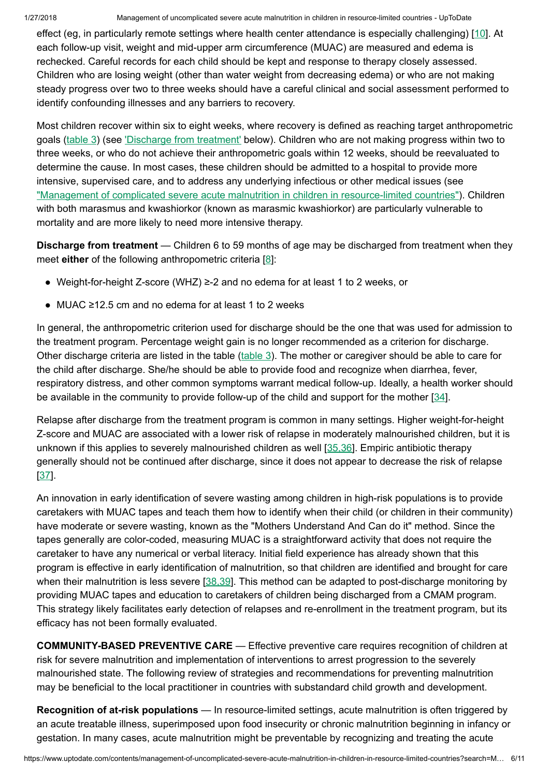1/27/2018 Management of uncomplicated severe acute malnutrition in children in resource-limited countries - UpToDate

effect (eg, in particularly remote settings where health center attendance is especially challenging) [\[10](https://www.uptodate.com/contents/management-of-uncomplicated-severe-acute-malnutrition-in-children-in-resource-limited-countries/abstract/10)]. At each follow-up visit, weight and mid-upper arm circumference (MUAC) are measured and edema is rechecked. Careful records for each child should be kept and response to therapy closely assessed. Children who are losing weight (other than water weight from decreasing edema) or who are not making steady progress over two to three weeks should have a careful clinical and social assessment performed to identify confounding illnesses and any barriers to recovery.

Most children recover within six to eight weeks, where recovery is defined as reaching target anthropometric goals ([table](https://www.uptodate.com/contents/image?imageKey=PEDS%2F79197&topicKey=PEDS%2F113959&search=MANAGEMENT+OF+SEVERE+MALNUTRITION&rank=1%7E150&source=see_link) 3) (see ['Discharge](https://www.uptodate.com/contents/management-of-uncomplicated-severe-acute-malnutrition-in-children-in-resource-limited-countries?search=MANAGEMENT%20OF%20SEVERE%20MALNUTRITION&source=search_result&selectedTitle=1~150&usage_type=default&display_rank=1#H1725553874) from treatment' below). Children who are not making progress within two to three weeks, or who do not achieve their anthropometric goals within 12 weeks, should be reevaluated to determine the cause. In most cases, these children should be admitted to a hospital to provide more intensive, supervised care, and to address any underlying infectious or other medical issues (see "Management of complicated severe acute malnutrition in children in [resource-limited](https://www.uptodate.com/contents/management-of-complicated-severe-acute-malnutrition-in-children-in-resource-limited-countries?source=see_link) countries"). Children with both marasmus and kwashiorkor (known as marasmic kwashiorkor) are particularly vulnerable to mortality and are more likely to need more intensive therapy.

**Discharge from treatment** — Children 6 to 59 months of age may be discharged from treatment when they meet either of the following anthropometric criteria  $[8]$  $[8]$ :

- Weight-for-height Z-score (WHZ)  $\geq$ -2 and no edema for at least 1 to 2 weeks, or
- $\bullet$  MUAC ≥12.5 cm and no edema for at least 1 to 2 weeks

In general, the anthropometric criterion used for discharge should be the one that was used for admission to the treatment program. Percentage weight gain is no longer recommended as a criterion for discharge. Other discharge criteria are listed in the [table](https://www.uptodate.com/contents/image?imageKey=PEDS%2F79197&topicKey=PEDS%2F113959&search=MANAGEMENT+OF+SEVERE+MALNUTRITION&rank=1%7E150&source=see_link) (table 3). The mother or caregiver should be able to care for the child after discharge. She/he should be able to provide food and recognize when diarrhea, fever, respiratory distress, and other common symptoms warrant medical follow-up. Ideally, a health worker should be available in the community to provide follow-up of the child and support for the mother [\[34](https://www.uptodate.com/contents/management-of-uncomplicated-severe-acute-malnutrition-in-children-in-resource-limited-countries/abstract/34)].

Relapse after discharge from the treatment program is common in many settings. Higher weight-for-height Z-score and MUAC are associated with a lower risk of relapse in moderately malnourished children, but it is unknown if this applies to severely malnourished children as well  $[35,36]$  $[35,36]$ . Empiric antibiotic therapy generally should not be continued after discharge, since it does not appear to decrease the risk of relapse [[37\]](https://www.uptodate.com/contents/management-of-uncomplicated-severe-acute-malnutrition-in-children-in-resource-limited-countries/abstract/37).

An innovation in early identification of severe wasting among children in high-risk populations is to provide caretakers with MUAC tapes and teach them how to identify when their child (or children in their community) have moderate or severe wasting, known as the "Mothers Understand And Can do it" method. Since the tapes generally are color-coded, measuring MUAC is a straightforward activity that does not require the caretaker to have any numerical or verbal literacy. Initial field experience has already shown that this program is effective in early identification of malnutrition, so that children are identified and brought for care when their malnutrition is less severe [[38,39\]](https://www.uptodate.com/contents/management-of-uncomplicated-severe-acute-malnutrition-in-children-in-resource-limited-countries/abstract/38,39). This method can be adapted to post-discharge monitoring by providing MUAC tapes and education to caretakers of children being discharged from a CMAM program. This strategy likely facilitates early detection of relapses and re-enrollment in the treatment program, but its efficacy has not been formally evaluated.

COMMUNITY-BASED PREVENTIVE CARE — Effective preventive care requires recognition of children at risk for severe malnutrition and implementation of interventions to arrest progression to the severely malnourished state. The following review of strategies and recommendations for preventing malnutrition may be beneficial to the local practitioner in countries with substandard child growth and development.

Recognition of at-risk populations — In resource-limited settings, acute malnutrition is often triggered by an acute treatable illness, superimposed upon food insecurity or chronic malnutrition beginning in infancy or gestation. In many cases, acute malnutrition might be preventable by recognizing and treating the acute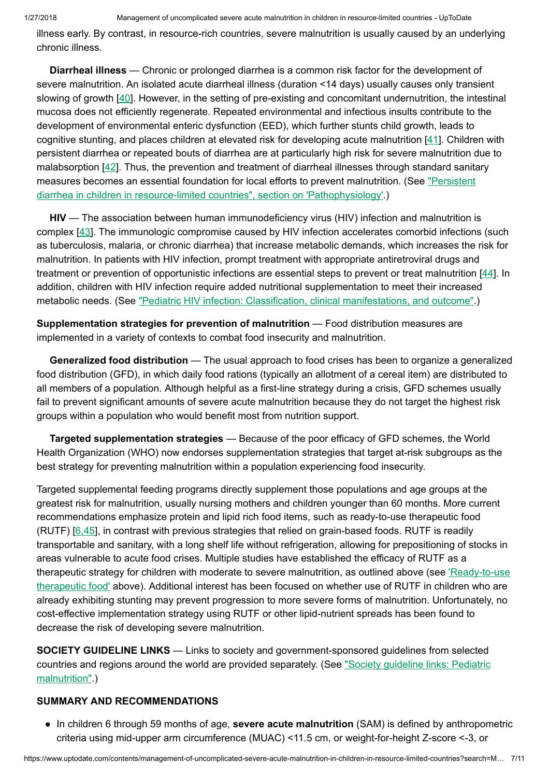illness early. By contrast, in resource-rich countries, severe malnutrition is usually caused by an underlying chronic illness.

Diarrheal illness — Chronic or prolonged diarrhea is a common risk factor for the development of severe malnutrition. An isolated acute diarrheal illness (duration <14 days) usually causes only transient slowing of growth [[40\]](https://www.uptodate.com/contents/management-of-uncomplicated-severe-acute-malnutrition-in-children-in-resource-limited-countries/abstract/40). However, in the setting of pre-existing and concomitant undernutrition, the intestinal mucosa does not efficiently regenerate. Repeated environmental and infectious insults contribute to the development of environmental enteric dysfunction (EED), which further stunts child growth, leads to cognitive stunting, and places children at elevated risk for developing acute malnutrition [\[41](https://www.uptodate.com/contents/management-of-uncomplicated-severe-acute-malnutrition-in-children-in-resource-limited-countries/abstract/41)]. Children with persistent diarrhea or repeated bouts of diarrhea are at particularly high risk for severe malnutrition due to malabsorption [[42\]](https://www.uptodate.com/contents/management-of-uncomplicated-severe-acute-malnutrition-in-children-in-resource-limited-countries/abstract/42). Thus, the prevention and treatment of diarrheal illnesses through standard sanitary measures becomes an [essential foundation](https://www.uptodate.com/contents/persistent-diarrhea-in-children-in-resource-limited-countries?sectionName=PATHOPHYSIOLOGY&anchor=H4&source=see_link#H4) for local efforts to prevent malnutrition. (See "Persistent diarrhea in children in resource-limited countries", section on 'Pathophysiology'.)

HIV — The association between human immunodeficiency virus (HIV) infection and malnutrition is complex [\[43](https://www.uptodate.com/contents/management-of-uncomplicated-severe-acute-malnutrition-in-children-in-resource-limited-countries/abstract/43)]. The immunologic compromise caused by HIV infection accelerates comorbid infections (such as tuberculosis, malaria, or chronic diarrhea) that increase metabolic demands, which increases the risk for malnutrition. In patients with HIV infection, prompt treatment with appropriate antiretroviral drugs and treatment or prevention of opportunistic infections are essential steps to prevent or treat malnutrition [[44\]](https://www.uptodate.com/contents/management-of-uncomplicated-severe-acute-malnutrition-in-children-in-resource-limited-countries/abstract/44). In addition, children with HIV infection require added nutritional supplementation to meet their increased metabolic needs. (See "Pediatric HIV infection: Classification, [clinical manifestations,](https://www.uptodate.com/contents/pediatric-hiv-infection-classification-clinical-manifestations-and-outcome?source=see_link) and outcome".)

Supplementation strategies for prevention of malnutrition — Food distribution measures are implemented in a variety of contexts to combat food insecurity and malnutrition.

Generalized food distribution — The usual approach to food crises has been to organize a generalized food distribution (GFD), in which daily food rations (typically an allotment of a cereal item) are distributed to all members of a population. Although helpful as a first-line strategy during a crisis, GFD schemes usually fail to prevent significant amounts of severe acute malnutrition because they do not target the highest risk groups within a population who would benefit most from nutrition support.

Targeted supplementation strategies — Because of the poor efficacy of GFD schemes, the World Health Organization (WHO) now endorses supplementation strategies that target at-risk subgroups as the best strategy for preventing malnutrition within a population experiencing food insecurity.

Targeted supplemental feeding programs directly supplement those populations and age groups at the greatest risk for malnutrition, usually nursing mothers and children younger than 60 months. More current recommendations emphasize protein and lipid rich food items, such as ready-to-use therapeutic food (RUTF) [[6,45\]](https://www.uptodate.com/contents/management-of-uncomplicated-severe-acute-malnutrition-in-children-in-resource-limited-countries/abstract/6,45), in contrast with previous strategies that relied on grain-based foods. RUTF is readily transportable and sanitary, with a long shelf life without refrigeration, allowing for prepositioning of stocks in areas vulnerable to acute food crises. Multiple studies have established the efficacy of RUTF as a therapeutic strategy for children with moderate to severe malnutrition, as outlined above (see 'Ready-to-use therapeutic food' above). [Additional interest](https://www.uptodate.com/contents/management-of-uncomplicated-severe-acute-malnutrition-in-children-in-resource-limited-countries?search=MANAGEMENT%20OF%20SEVERE%20MALNUTRITION&source=search_result&selectedTitle=1~150&usage_type=default&display_rank=1#H3194860690) has been focused on whether use of RUTF in children who are already exhibiting stunting may prevent progression to more severe forms of malnutrition. Unfortunately, no cost-effective implementation strategy using RUTF or other lipid-nutrient spreads has been found to decrease the risk of developing severe malnutrition.

SOCIETY GUIDELINE LINKS — Links to society and government-sponsored guidelines from selected countries and regions around the world are provided separately. (See "Society guideline links: Pediatric [malnutrition".\)](https://www.uptodate.com/contents/society-guideline-links-pediatric-malnutrition?source=see_link)

## SUMMARY AND RECOMMENDATIONS

• In children 6 through 59 months of age, severe acute malnutrition (SAM) is defined by anthropometric criteria using mid-upper arm circumference (MUAC) <11.5 cm, or weight-for-height Z-score <-3, or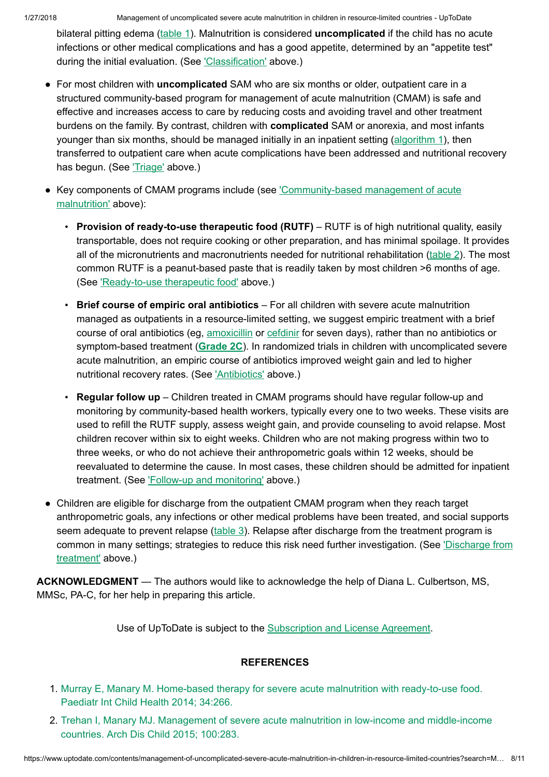bilateral pitting edema ([table](https://www.uptodate.com/contents/image?imageKey=PEDS%2F60869&topicKey=PEDS%2F113959&search=MANAGEMENT+OF+SEVERE+MALNUTRITION&rank=1%7E150&source=see_link) 1). Malnutrition is considered **uncomplicated** if the child has no acute infections or other medical complications and has a good appetite, determined by an "appetite test" during the initial evaluation. (See ['Classification'](https://www.uptodate.com/contents/management-of-uncomplicated-severe-acute-malnutrition-in-children-in-resource-limited-countries?search=MANAGEMENT%20OF%20SEVERE%20MALNUTRITION&source=search_result&selectedTitle=1~150&usage_type=default&display_rank=1#H824088546) above.)

- For most children with *uncomplicated* SAM who are six months or older, outpatient care in a structured community-based program for management of acute malnutrition (CMAM) is safe and effective and increases access to care by reducing costs and avoiding travel and other treatment burdens on the family. By contrast, children with complicated SAM or anorexia, and most infants younger than six months, should be managed initially in an inpatient setting [\(algorithm](https://www.uptodate.com/contents/image?imageKey=PEDS%2F113987&topicKey=PEDS%2F113959&search=MANAGEMENT+OF+SEVERE+MALNUTRITION&rank=1%7E150&source=see_link) 1), then transferred to outpatient care when acute complications have been addressed and nutritional recovery has begun. (See ['Triage'](https://www.uptodate.com/contents/management-of-uncomplicated-severe-acute-malnutrition-in-children-in-resource-limited-countries?search=MANAGEMENT%20OF%20SEVERE%20MALNUTRITION&source=search_result&selectedTitle=1~150&usage_type=default&display_rank=1#H2757780587) above.)
- Key components of CMAM programs include (see ['Community-based](https://www.uptodate.com/contents/management-of-uncomplicated-severe-acute-malnutrition-in-children-in-resource-limited-countries?search=MANAGEMENT%20OF%20SEVERE%20MALNUTRITION&source=search_result&selectedTitle=1~150&usage_type=default&display_rank=1#H4288277979) management of acute malnutrition' above):
	- Provision of ready-to-use therapeutic food (RUTF) RUTF is of high nutritional quality, easily transportable, does not require cooking or other preparation, and has minimal spoilage. It provides all of the micronutrients and macronutrients needed for nutritional rehabilitation ( $table 2$  $table 2$ ). The most common RUTF is a peanut-based paste that is readily taken by most children >6 months of age. (See ['Ready-to-use](https://www.uptodate.com/contents/management-of-uncomplicated-severe-acute-malnutrition-in-children-in-resource-limited-countries?search=MANAGEMENT%20OF%20SEVERE%20MALNUTRITION&source=search_result&selectedTitle=1~150&usage_type=default&display_rank=1#H3194860690) therapeutic food' above.)
	- Brief course of empiric oral antibiotics For all children with severe acute malnutrition managed as outpatients in a resource-limited setting, we suggest empiric treatment with a brief course of oral antibiotics (eg, [amoxicillin](https://www.uptodate.com/contents/amoxicillin-pediatric-drug-information?source=see_link) or [cefdinir](https://www.uptodate.com/contents/cefdinir-pediatric-drug-information?source=see_link) for seven days), rather than no antibiotics or symptom-based treatment ([Grade](https://www.uptodate.com/contents/grade/6?title=Grade%202C&topicKey=PEDS/113959) 2C). In randomized trials in children with uncomplicated severe acute malnutrition, an empiric course of antibiotics improved weight gain and led to higher nutritional recovery rates. (See ['Antibiotics'](https://www.uptodate.com/contents/management-of-uncomplicated-severe-acute-malnutrition-in-children-in-resource-limited-countries?search=MANAGEMENT%20OF%20SEVERE%20MALNUTRITION&source=search_result&selectedTitle=1~150&usage_type=default&display_rank=1#H3991352518) above.)
	- Regular follow up Children treated in CMAM programs should have regular follow-up and monitoring by community-based health workers, typically every one to two weeks. These visits are used to refill the RUTF supply, assess weight gain, and provide counseling to avoid relapse. Most children recover within six to eight weeks. Children who are not making progress within two to three weeks, or who do not achieve their anthropometric goals within 12 weeks, should be reevaluated to determine the cause. In most cases, these children should be admitted for inpatient treatment. (See 'Follow-up and [monitoring'](https://www.uptodate.com/contents/management-of-uncomplicated-severe-acute-malnutrition-in-children-in-resource-limited-countries?search=MANAGEMENT%20OF%20SEVERE%20MALNUTRITION&source=search_result&selectedTitle=1~150&usage_type=default&display_rank=1#H3176906666) above.)
- Children are eligible for discharge from the outpatient CMAM program when they reach target anthropometric goals, any infections or other medical problems have been treated, and social supports seem adequate to prevent relapse ([table](https://www.uptodate.com/contents/image?imageKey=PEDS%2F79197&topicKey=PEDS%2F113959&search=MANAGEMENT+OF+SEVERE+MALNUTRITION&rank=1%7E150&source=see_link) 3). Relapse after discharge from the treatment program is common in many settings; strategies to reduce this risk need further [investigation.](https://www.uptodate.com/contents/management-of-uncomplicated-severe-acute-malnutrition-in-children-in-resource-limited-countries?search=MANAGEMENT%20OF%20SEVERE%20MALNUTRITION&source=search_result&selectedTitle=1~150&usage_type=default&display_rank=1#H1725553874) (See 'Discharge from treatment' above.)

ACKNOWLEDGMENT — The authors would like to acknowledge the help of Diana L. Culbertson, MS. MMSc, PA-C, for her help in preparing this article.

Use of UpToDate is subject to the [Subscription](https://www.uptodate.com/legal/license) and License Agreement.

## **REFERENCES**

- 1. Murray E, Manary M. [Home-based](https://www.uptodate.com/contents/management-of-uncomplicated-severe-acute-malnutrition-in-children-in-resource-limited-countries/abstract/1) therapy for severe acute malnutrition with ready-to-use food. Paediatr Int Child Health 2014; 34:266.
- 2. Trehan I, Manary MJ. Management of severe acute malnutrition in low-income and [middle-income](https://www.uptodate.com/contents/management-of-uncomplicated-severe-acute-malnutrition-in-children-in-resource-limited-countries/abstract/2) countries. Arch Dis Child 2015; 100:283.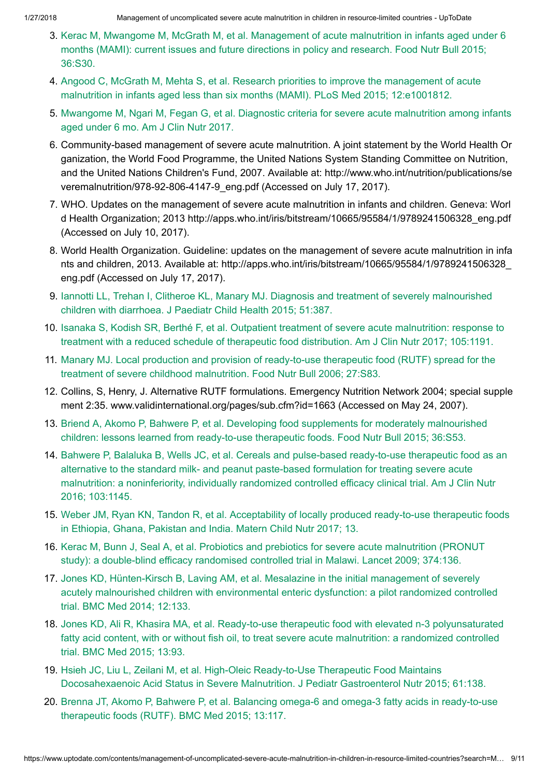- 3. Kerac M, Mwangome M, McGrath M, et al. [Management](https://www.uptodate.com/contents/management-of-uncomplicated-severe-acute-malnutrition-in-children-in-resource-limited-countries/abstract/3) of acute malnutrition in infants aged under 6 months (MAMI): current issues and future directions in policy and research. Food Nutr Bull 2015; 36:S30.
- 4. Angood C, McGrath M, Mehta S, et al. Research priorities to improve the management of acute malnutrition in infants aged less than six months (MAMI). PLoS Med 2015; [12:e1001812.](https://www.uptodate.com/contents/management-of-uncomplicated-severe-acute-malnutrition-in-children-in-resource-limited-countries/abstract/4)
- 5. Mwangome M, Ngari M, Fegan G, et al. Diagnostic criteria for severe acute [malnutrition](https://www.uptodate.com/contents/management-of-uncomplicated-severe-acute-malnutrition-in-children-in-resource-limited-countries/abstract/5) among infants aged under 6 mo. Am J Clin Nutr 2017.
- 6. Community-based management of severe acute malnutrition. A joint statement by the World Health Or ganization, the World Food Programme, the United Nations System Standing Committee on Nutrition, and the United Nations Children's Fund, 2007. Available at: http://www.who.int/nutrition/publications/se veremalnutrition/978-92-806-4147-9\_eng.pdf (Accessed on July 17, 2017).
- 7. WHO. Updates on the management of severe acute malnutrition in infants and children. Geneva: Worl d Health Organization; 2013 http://apps.who.int/iris/bitstream/10665/95584/1/9789241506328\_eng.pdf (Accessed on July 10, 2017).
- 8. World Health Organization. Guideline: updates on the management of severe acute malnutrition in infa nts and children, 2013. Available at: http://apps.who.int/iris/bitstream/10665/95584/1/9789241506328\_ eng.pdf (Accessed on July 17, 2017).
- 9. Iannotti LL, Trehan I, Clitheroe KL, Manary MJ. Diagnosis and treatment of severely [malnourished](https://www.uptodate.com/contents/management-of-uncomplicated-severe-acute-malnutrition-in-children-in-resource-limited-countries/abstract/9) children with diarrhoea. J Paediatr Child Health 2015; 51:387.
- 10. Isanaka S, Kodish SR, Berthé F, et al. Outpatient treatment of severe acute [malnutrition:](https://www.uptodate.com/contents/management-of-uncomplicated-severe-acute-malnutrition-in-children-in-resource-limited-countries/abstract/10) response to treatment with a reduced schedule of therapeutic food distribution. Am J Clin Nutr 2017; 105:1191.
- 11. Manary MJ. [Local production](https://www.uptodate.com/contents/management-of-uncomplicated-severe-acute-malnutrition-in-children-in-resource-limited-countries/abstract/11) and provision of ready-to-use therapeutic food (RUTF) spread for the treatment of severe childhood malnutrition. Food Nutr Bull 2006; 27:S83.
- 12. Collins, S, Henry, J. Alternative RUTF formulations. Emergency Nutrition Network 2004; special supple ment 2:35. www.validinternational.org/pages/sub.cfm?id=1663 (Accessed on May 24, 2007).
- 13. Briend A, Akomo P, Bahwere P, et al. Developing food supplements for moderately [malnourished](https://www.uptodate.com/contents/management-of-uncomplicated-severe-acute-malnutrition-in-children-in-resource-limited-countries/abstract/13) children: lessons learned from ready-to-use therapeutic foods. Food Nutr Bull 2015; 36:S53.
- 14. Bahwere P, Balaluka B, Wells JC, et al. Cereals and pulse-based ready-to-use therapeutic food as an alternative to the standard milk- and peanut paste-based formulation for treating severe acute malnutrition: a [noninferiority,](https://www.uptodate.com/contents/management-of-uncomplicated-severe-acute-malnutrition-in-children-in-resource-limited-countries/abstract/14) individually randomized controlled efficacy clinical trial. Am J Clin Nutr 2016; 103:1145.
- 15. Weber JM, Ryan KN, Tandon R, et al. [Acceptability](https://www.uptodate.com/contents/management-of-uncomplicated-severe-acute-malnutrition-in-children-in-resource-limited-countries/abstract/15) of locally produced ready-to-use therapeutic foods in Ethiopia, Ghana, Pakistan and India. Matern Child Nutr 2017; 13.
- 16. Kerac M, Bunn J, Seal A, et al. Probiotics and prebiotics for severe acute malnutrition (PRONUT study): a [double-blind](https://www.uptodate.com/contents/management-of-uncomplicated-severe-acute-malnutrition-in-children-in-resource-limited-countries/abstract/16) efficacy randomised controlled trial in Malawi. Lancet 2009; 374:136.
- 17. Jones KD, Hünten-Kirsch B, Laving AM, et al. Mesalazine in the initial management of severely acutely malnourished children with [environmental enteric](https://www.uptodate.com/contents/management-of-uncomplicated-severe-acute-malnutrition-in-children-in-resource-limited-countries/abstract/17) dysfunction: a pilot randomized controlled trial. BMC Med 2014; 12:133.
- 18. Jones KD, Ali R, Khasira MA, et al. Ready-to-use therapeutic food with elevated n-3 [polyunsaturated](https://www.uptodate.com/contents/management-of-uncomplicated-severe-acute-malnutrition-in-children-in-resource-limited-countries/abstract/18) fatty acid content, with or without fish oil, to treat severe acute malnutrition: a randomized controlled trial. BMC Med 2015; 13:93.
- 19. Hsieh JC, Liu L, Zeilani M, et al. High-Oleic Ready-to-Use Therapeutic Food Maintains Docosahexaenoic Acid Status in Severe Malnutrition. J Pediatr [Gastroenterol Nutr](https://www.uptodate.com/contents/management-of-uncomplicated-severe-acute-malnutrition-in-children-in-resource-limited-countries/abstract/19) 2015; 61:138.
- 20. Brenna JT, Akomo P, Bahwere P, et al. Balancing omega-6 and omega-3 fatty acids in [ready-to-use](https://www.uptodate.com/contents/management-of-uncomplicated-severe-acute-malnutrition-in-children-in-resource-limited-countries/abstract/20) therapeutic foods (RUTF). BMC Med 2015; 13:117.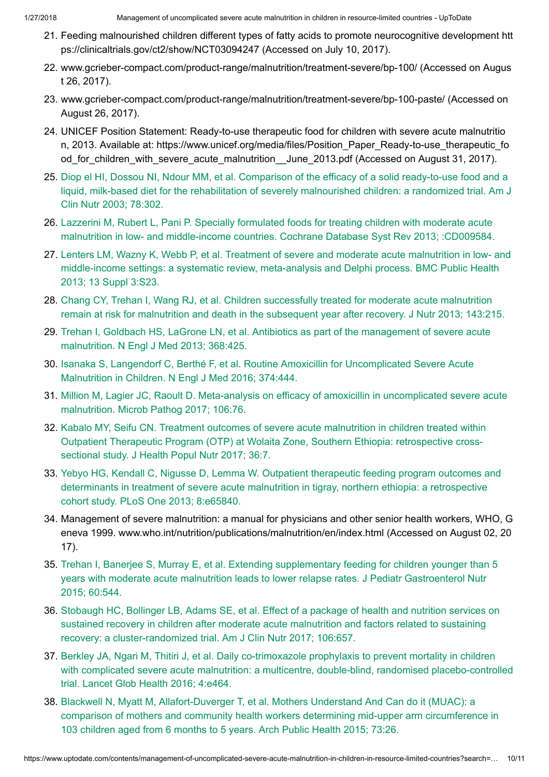- 21. Feeding malnourished children different types of fatty acids to promote neurocognitive development htt ps://clinicaltrials.gov/ct2/show/NCT03094247 (Accessed on July 10, 2017).
- 22. www.gcrieber-compact.com/product-range/malnutrition/treatment-severe/bp-100/ (Accessed on Augus t 26, 2017).
- 23. www.gcrieber-compact.com/product-range/malnutrition/treatment-severe/bp-100-paste/ (Accessed on August 26, 2017).
- 24. UNICEF Position Statement: Ready-to-use therapeutic food for children with severe acute malnutritio n, 2013. Available at: https://www.unicef.org/media/files/Position\_Paper\_Ready-to-use\_therapeutic\_fo od for children with severe acute malnutrition June 2013.pdf (Accessed on August 31, 2017).
- 25. Diop el HI, Dossou NI, Ndour MM, et al. Comparison of the efficacy of a solid ready-to-use food and a liquid, milk-based diet for the rehabilitation of severely [malnourished](https://www.uptodate.com/contents/management-of-uncomplicated-severe-acute-malnutrition-in-children-in-resource-limited-countries/abstract/25) children: a randomized trial. Am J Clin Nutr 2003; 78:302.
- 26. Lazzerini M, Rubert L, Pani P. Specially formulated foods for treating children with moderate acute malnutrition in low- and [middle-income](https://www.uptodate.com/contents/management-of-uncomplicated-severe-acute-malnutrition-in-children-in-resource-limited-countries/abstract/26) countries. Cochrane Database Syst Rev 2013; :CD009584.
- 27. Lenters LM, Wazny K, Webb P, et al. Treatment of severe and moderate acute malnutrition in low- and middle-income settings: a systematic review, meta-analysis and [Delphi process.](https://www.uptodate.com/contents/management-of-uncomplicated-severe-acute-malnutrition-in-children-in-resource-limited-countries/abstract/27) BMC Public Health 2013; 13 Suppl 3:S23.
- 28. Chang CY, Trehan I, Wang RJ, et al. Children [successfully](https://www.uptodate.com/contents/management-of-uncomplicated-severe-acute-malnutrition-in-children-in-resource-limited-countries/abstract/28) treated for moderate acute malnutrition remain at risk for malnutrition and death in the subsequent year after recovery. J Nutr 2013; 143:215.
- 29. Trehan I, Goldbach HS, LaGrone LN, et al. Antibiotics as part of the [management](https://www.uptodate.com/contents/management-of-uncomplicated-severe-acute-malnutrition-in-children-in-resource-limited-countries/abstract/29) of severe acute malnutrition. N Engl J Med 2013; 368:425.
- 30. Isanaka S, Langendorf C, Berthé F, et al. Routine Amoxicillin for [Uncomplicated](https://www.uptodate.com/contents/management-of-uncomplicated-severe-acute-malnutrition-in-children-in-resource-limited-countries/abstract/30) Severe Acute Malnutrition in Children. N Engl J Med 2016; 374:444.
- 31. Million M, Lagier JC, Raoult D. Meta-analysis on efficacy of amoxicillin in [uncomplicated](https://www.uptodate.com/contents/management-of-uncomplicated-severe-acute-malnutrition-in-children-in-resource-limited-countries/abstract/31) severe acute malnutrition. Microb Pathog 2017; 106:76.
- 32. Kabalo MY, Seifu CN. Treatment outcomes of severe acute malnutrition in children treated within Outpatient Therapeutic Program (OTP) at Wolaita Zone, Southern Ethiopia: retrospective cross[sectional study.](https://www.uptodate.com/contents/management-of-uncomplicated-severe-acute-malnutrition-in-children-in-resource-limited-countries/abstract/32) J Health Popul Nutr 2017; 36:7.
- 33. Yebyo HG, Kendall C, Nigusse D, Lemma W. Outpatient therapeutic feeding program outcomes and [determinants](https://www.uptodate.com/contents/management-of-uncomplicated-severe-acute-malnutrition-in-children-in-resource-limited-countries/abstract/33) in treatment of severe acute malnutrition in tigray, northern ethiopia: a retrospective cohort study. PLoS One 2013; 8:e65840.
- 34. Management of severe malnutrition: a manual for physicians and other senior health workers, WHO, G eneva 1999. www.who.int/nutrition/publications/malnutrition/en/index.html (Accessed on August 02, 20 17).
- 35. Trehan I, Banerjee S, Murray E, et al. Extending supplementary feeding for children younger than 5 years with moderate acute malnutrition leads to lower relapse rates. J Pediatr [Gastroenterol Nutr](https://www.uptodate.com/contents/management-of-uncomplicated-severe-acute-malnutrition-in-children-in-resource-limited-countries/abstract/35) 2015; 60:544.
- 36. Stobaugh HC, Bollinger LB, Adams SE, et al. Effect of a package of health and nutrition services on sustained recovery in children after moderate acute malnutrition and factors related to sustaining recovery: a [cluster-randomized](https://www.uptodate.com/contents/management-of-uncomplicated-severe-acute-malnutrition-in-children-in-resource-limited-countries/abstract/36) trial. Am J Clin Nutr 2017; 106:657.
- 37. Berkley JA, Ngari M, Thitiri J, et al. Daily co-trimoxazole prophylaxis to prevent mortality in children with complicated severe acute malnutrition: a multicentre, double-blind, randomised [placebo-controlled](https://www.uptodate.com/contents/management-of-uncomplicated-severe-acute-malnutrition-in-children-in-resource-limited-countries/abstract/37) trial. Lancet Glob Health 2016; 4:e464.
- 38. Blackwell N, Myatt M, [Allafort-Duverger](https://www.uptodate.com/contents/management-of-uncomplicated-severe-acute-malnutrition-in-children-in-resource-limited-countries/abstract/38) T, et al. Mothers Understand And Can do it (MUAC): a comparison of mothers and community health workers determining mid-upper arm circumference in 103 children aged from 6 months to 5 years. Arch Public Health 2015; 73:26.